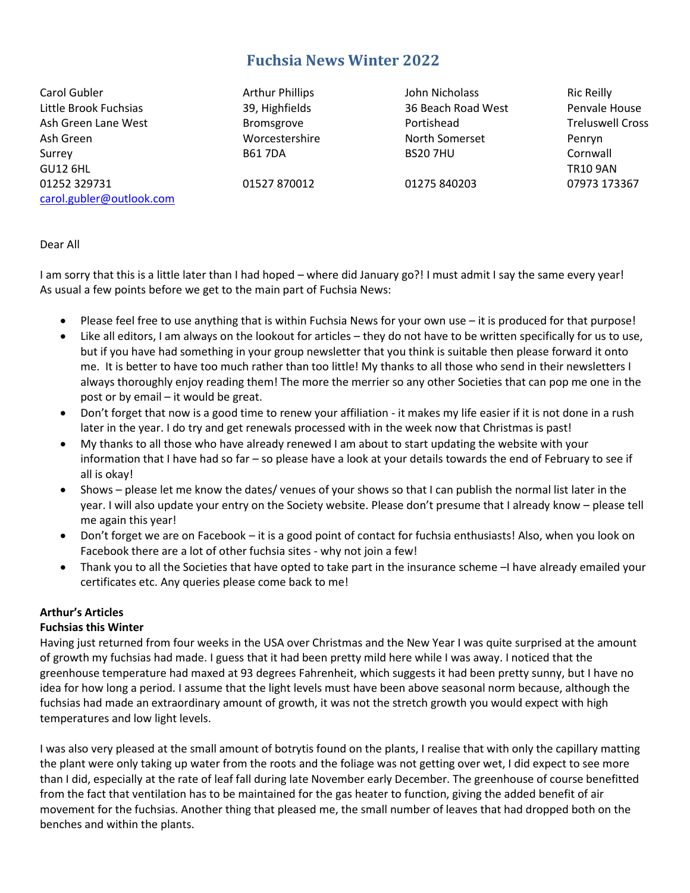# **Fuchsia News Winter 2022**

Carol Gubler Arthur Phillips John Nicholass Ric Reilly Little Brook Fuchsias 39, Highfields 36 Beach Road West Penvale House Ash Green Lane West **Bromsgrove** Bromsgrove **Portishead** Treluswell Cross Ash Green Worcestershire North Somerset Penryn Surrey B61 7DA BS20 7HU Cornwall GU12 6HL TR10 9AN 01252 329731 01527 870012 01275 840203 07973 173367 [carol.gubler@outlook.com](mailto:carol.gubler@ntlbusiness.com)

#### Dear All

I am sorry that this is a little later than I had hoped – where did January go?! I must admit I say the same every year! As usual a few points before we get to the main part of Fuchsia News:

- Please feel free to use anything that is within Fuchsia News for your own use it is produced for that purpose!
- Like all editors, I am always on the lookout for articles they do not have to be written specifically for us to use, but if you have had something in your group newsletter that you think is suitable then please forward it onto me. It is better to have too much rather than too little! My thanks to all those who send in their newsletters I always thoroughly enjoy reading them! The more the merrier so any other Societies that can pop me one in the post or by email – it would be great.
- Don't forget that now is a good time to renew your affiliation it makes my life easier if it is not done in a rush later in the year. I do try and get renewals processed with in the week now that Christmas is past!
- My thanks to all those who have already renewed I am about to start updating the website with your information that I have had so far – so please have a look at your details towards the end of February to see if all is okay!
- Shows please let me know the dates/ venues of your shows so that I can publish the normal list later in the year. I will also update your entry on the Society website. Please don't presume that I already know – please tell me again this year!
- Don't forget we are on Facebook it is a good point of contact for fuchsia enthusiasts! Also, when you look on Facebook there are a lot of other fuchsia sites - why not join a few!
- Thank you to all the Societies that have opted to take part in the insurance scheme –I have already emailed your certificates etc. Any queries please come back to me!

#### **Arthur's Articles**

#### **Fuchsias this Winter**

Having just returned from four weeks in the USA over Christmas and the New Year I was quite surprised at the amount of growth my fuchsias had made. I guess that it had been pretty mild here while I was away. I noticed that the greenhouse temperature had maxed at 93 degrees Fahrenheit, which suggests it had been pretty sunny, but I have no idea for how long a period. I assume that the light levels must have been above seasonal norm because, although the fuchsias had made an extraordinary amount of growth, it was not the stretch growth you would expect with high temperatures and low light levels.

I was also very pleased at the small amount of botrytis found on the plants, I realise that with only the capillary matting the plant were only taking up water from the roots and the foliage was not getting over wet, I did expect to see more than I did, especially at the rate of leaf fall during late November early December. The greenhouse of course benefitted from the fact that ventilation has to be maintained for the gas heater to function, giving the added benefit of air movement for the fuchsias. Another thing that pleased me, the small number of leaves that had dropped both on the benches and within the plants.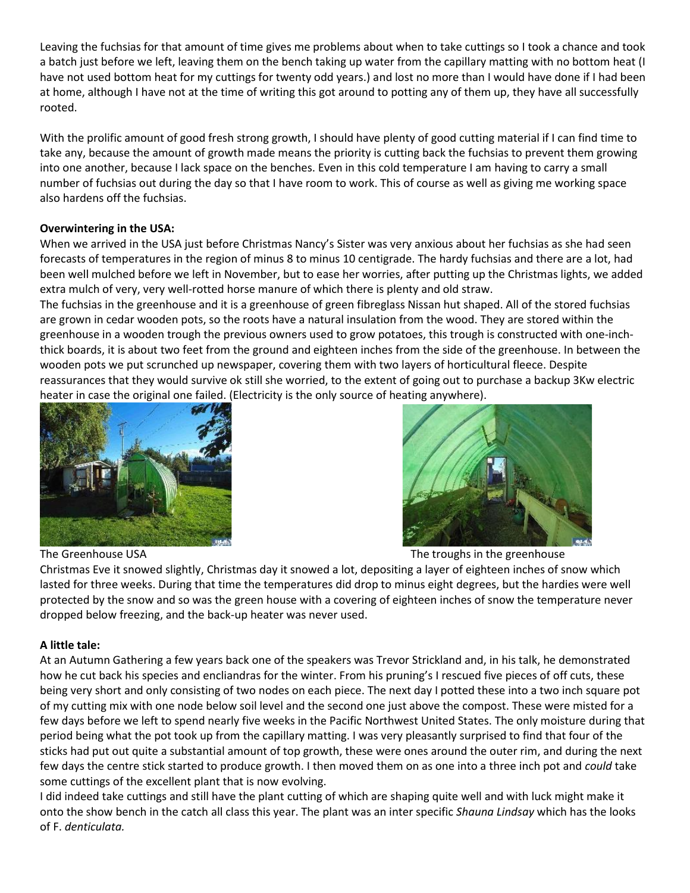Leaving the fuchsias for that amount of time gives me problems about when to take cuttings so I took a chance and took a batch just before we left, leaving them on the bench taking up water from the capillary matting with no bottom heat (I have not used bottom heat for my cuttings for twenty odd years.) and lost no more than I would have done if I had been at home, although I have not at the time of writing this got around to potting any of them up, they have all successfully rooted.

With the prolific amount of good fresh strong growth, I should have plenty of good cutting material if I can find time to take any, because the amount of growth made means the priority is cutting back the fuchsias to prevent them growing into one another, because I lack space on the benches. Even in this cold temperature I am having to carry a small number of fuchsias out during the day so that I have room to work. This of course as well as giving me working space also hardens off the fuchsias.

#### **Overwintering in the USA:**

When we arrived in the USA just before Christmas Nancy's Sister was very anxious about her fuchsias as she had seen forecasts of temperatures in the region of minus 8 to minus 10 centigrade. The hardy fuchsias and there are a lot, had been well mulched before we left in November, but to ease her worries, after putting up the Christmas lights, we added extra mulch of very, very well-rotted horse manure of which there is plenty and old straw.

The fuchsias in the greenhouse and it is a greenhouse of green fibreglass Nissan hut shaped. All of the stored fuchsias are grown in cedar wooden pots, so the roots have a natural insulation from the wood. They are stored within the greenhouse in a wooden trough the previous owners used to grow potatoes, this trough is constructed with one-inchthick boards, it is about two feet from the ground and eighteen inches from the side of the greenhouse. In between the wooden pots we put scrunched up newspaper, covering them with two layers of horticultural fleece. Despite reassurances that they would survive ok still she worried, to the extent of going out to purchase a backup 3Kw electric heater in case the original one failed. (Electricity is the only source of heating anywhere).



The Greenhouse USA The troughs in the greenhouse USA

Christmas Eve it snowed slightly, Christmas day it snowed a lot, depositing a layer of eighteen inches of snow which lasted for three weeks. During that time the temperatures did drop to minus eight degrees, but the hardies were well protected by the snow and so was the green house with a covering of eighteen inches of snow the temperature never dropped below freezing, and the back-up heater was never used.

#### **A little tale:**

At an Autumn Gathering a few years back one of the speakers was Trevor Strickland and, in his talk, he demonstrated how he cut back his species and encliandras for the winter. From his pruning's I rescued five pieces of off cuts, these being very short and only consisting of two nodes on each piece. The next day I potted these into a two inch square pot of my cutting mix with one node below soil level and the second one just above the compost. These were misted for a few days before we left to spend nearly five weeks in the Pacific Northwest United States. The only moisture during that period being what the pot took up from the capillary matting. I was very pleasantly surprised to find that four of the sticks had put out quite a substantial amount of top growth, these were ones around the outer rim, and during the next few days the centre stick started to produce growth. I then moved them on as one into a three inch pot and *could* take some cuttings of the excellent plant that is now evolving.

I did indeed take cuttings and still have the plant cutting of which are shaping quite well and with luck might make it onto the show bench in the catch all class this year. The plant was an inter specific *Shauna Lindsay* which has the looks of F. *denticulata.*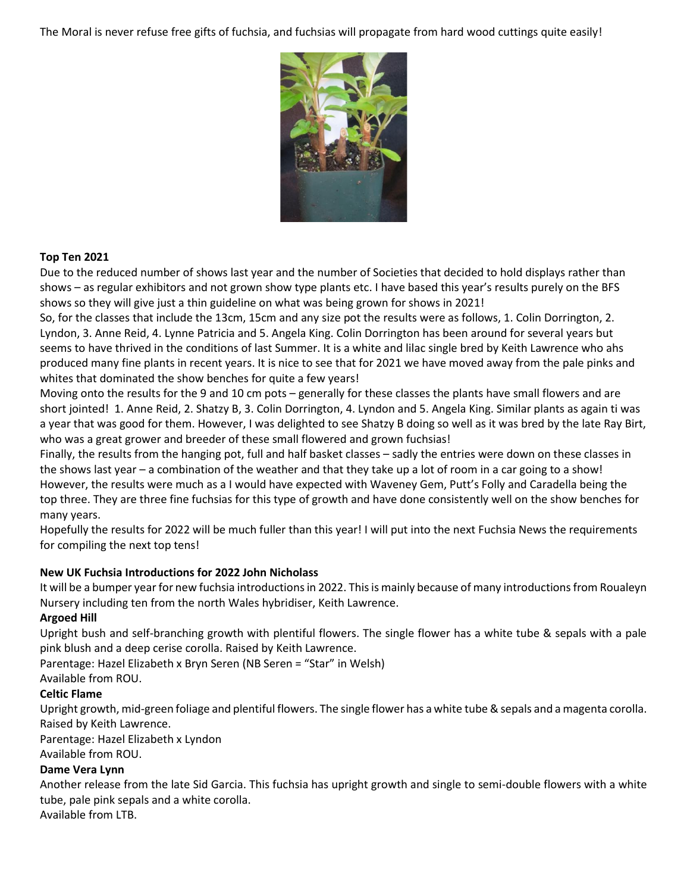The Moral is never refuse free gifts of fuchsia, and fuchsias will propagate from hard wood cuttings quite easily!



#### **Top Ten 2021**

Due to the reduced number of shows last year and the number of Societies that decided to hold displays rather than shows – as regular exhibitors and not grown show type plants etc. I have based this year's results purely on the BFS shows so they will give just a thin guideline on what was being grown for shows in 2021!

So, for the classes that include the 13cm, 15cm and any size pot the results were as follows, 1. Colin Dorrington, 2. Lyndon, 3. Anne Reid, 4. Lynne Patricia and 5. Angela King. Colin Dorrington has been around for several years but seems to have thrived in the conditions of last Summer. It is a white and lilac single bred by Keith Lawrence who ahs produced many fine plants in recent years. It is nice to see that for 2021 we have moved away from the pale pinks and whites that dominated the show benches for quite a few years!

Moving onto the results for the 9 and 10 cm pots – generally for these classes the plants have small flowers and are short jointed! 1. Anne Reid, 2. Shatzy B, 3. Colin Dorrington, 4. Lyndon and 5. Angela King. Similar plants as again ti was a year that was good for them. However, I was delighted to see Shatzy B doing so well as it was bred by the late Ray Birt, who was a great grower and breeder of these small flowered and grown fuchsias!

Finally, the results from the hanging pot, full and half basket classes – sadly the entries were down on these classes in the shows last year – a combination of the weather and that they take up a lot of room in a car going to a show! However, the results were much as a I would have expected with Waveney Gem, Putt's Folly and Caradella being the top three. They are three fine fuchsias for this type of growth and have done consistently well on the show benches for many years.

Hopefully the results for 2022 will be much fuller than this year! I will put into the next Fuchsia News the requirements for compiling the next top tens!

## **New UK Fuchsia Introductions for 2022 John Nicholass**

It will be a bumper year for new fuchsia introductions in 2022. This is mainly because of many introductions from Roualeyn Nursery including ten from the north Wales hybridiser, Keith Lawrence.

#### **Argoed Hill**

Upright bush and self-branching growth with plentiful flowers. The single flower has a white tube & sepals with a pale pink blush and a deep cerise corolla. Raised by Keith Lawrence.

Parentage: Hazel Elizabeth x Bryn Seren (NB Seren = "Star" in Welsh)

Available from ROU.

## **Celtic Flame**

Upright growth, mid-green foliage and plentiful flowers. The single flower has a white tube & sepals and a magenta corolla. Raised by Keith Lawrence.

Parentage: Hazel Elizabeth x Lyndon

Available from ROU.

## **Dame Vera Lynn**

Another release from the late Sid Garcia. This fuchsia has upright growth and single to semi-double flowers with a white tube, pale pink sepals and a white corolla. Available from LTB.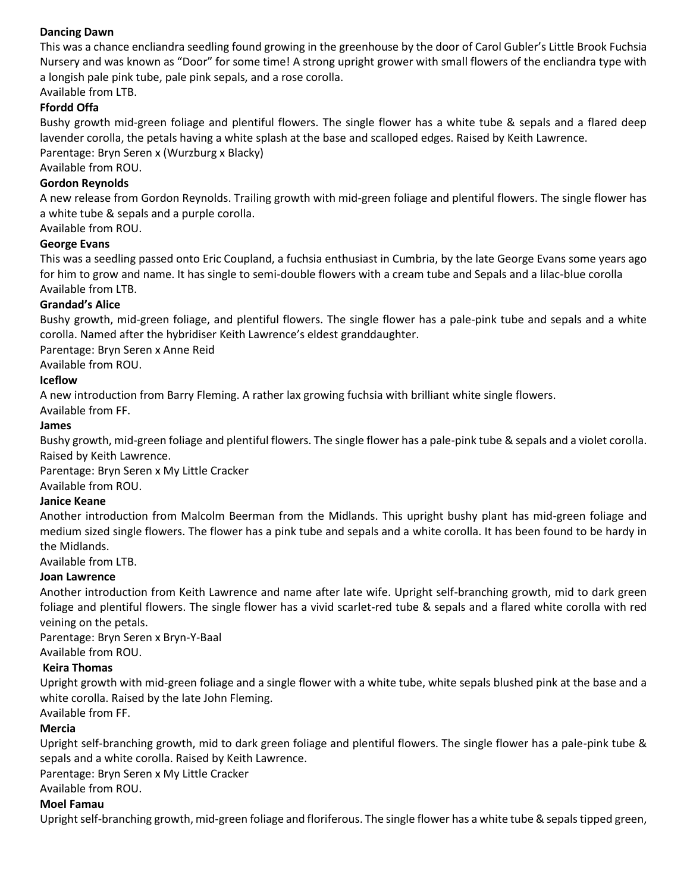#### **Dancing Dawn**

This was a chance encliandra seedling found growing in the greenhouse by the door of Carol Gubler's Little Brook Fuchsia Nursery and was known as "Door" for some time! A strong upright grower with small flowers of the encliandra type with a longish pale pink tube, pale pink sepals, and a rose corolla.

## Available from LTB.

#### **Ffordd Offa**

Bushy growth mid-green foliage and plentiful flowers. The single flower has a white tube & sepals and a flared deep lavender corolla, the petals having a white splash at the base and scalloped edges. Raised by Keith Lawrence. Parentage: Bryn Seren x (Wurzburg x Blacky)

Available from ROU.

#### **Gordon Reynolds**

A new release from Gordon Reynolds. Trailing growth with mid-green foliage and plentiful flowers. The single flower has a white tube & sepals and a purple corolla.

Available from ROU.

#### **George Evans**

This was a seedling passed onto Eric Coupland, a fuchsia enthusiast in Cumbria, by the late George Evans some years ago for him to grow and name. It has single to semi-double flowers with a cream tube and Sepals and a lilac-blue corolla Available from LTB.

#### **Grandad's Alice**

Bushy growth, mid-green foliage, and plentiful flowers. The single flower has a pale-pink tube and sepals and a white corolla. Named after the hybridiser Keith Lawrence's eldest granddaughter.

Parentage: Bryn Seren x Anne Reid

Available from ROU.

#### **Iceflow**

A new introduction from Barry Fleming. A rather lax growing fuchsia with brilliant white single flowers.

Available from FF.

#### **James**

Bushy growth, mid-green foliage and plentiful flowers. The single flower has a pale-pink tube & sepals and a violet corolla. Raised by Keith Lawrence.

Parentage: Bryn Seren x My Little Cracker Available from ROU.

#### **Janice Keane**

Another introduction from Malcolm Beerman from the Midlands. This upright bushy plant has mid-green foliage and medium sized single flowers. The flower has a pink tube and sepals and a white corolla. It has been found to be hardy in the Midlands.

Available from LTB.

#### **Joan Lawrence**

Another introduction from Keith Lawrence and name after late wife. Upright self-branching growth, mid to dark green foliage and plentiful flowers. The single flower has a vivid scarlet-red tube & sepals and a flared white corolla with red veining on the petals.

Parentage: Bryn Seren x Bryn-Y-Baal Available from ROU.

#### **Keira Thomas**

Upright growth with mid-green foliage and a single flower with a white tube, white sepals blushed pink at the base and a white corolla. Raised by the late John Fleming.

Available from FF.

#### **Mercia**

Upright self-branching growth, mid to dark green foliage and plentiful flowers. The single flower has a pale-pink tube & sepals and a white corolla. Raised by Keith Lawrence.

Parentage: Bryn Seren x My Little Cracker

Available from ROU.

#### **Moel Famau**

Upright self-branching growth, mid-green foliage and floriferous. The single flower has a white tube & sepals tipped green,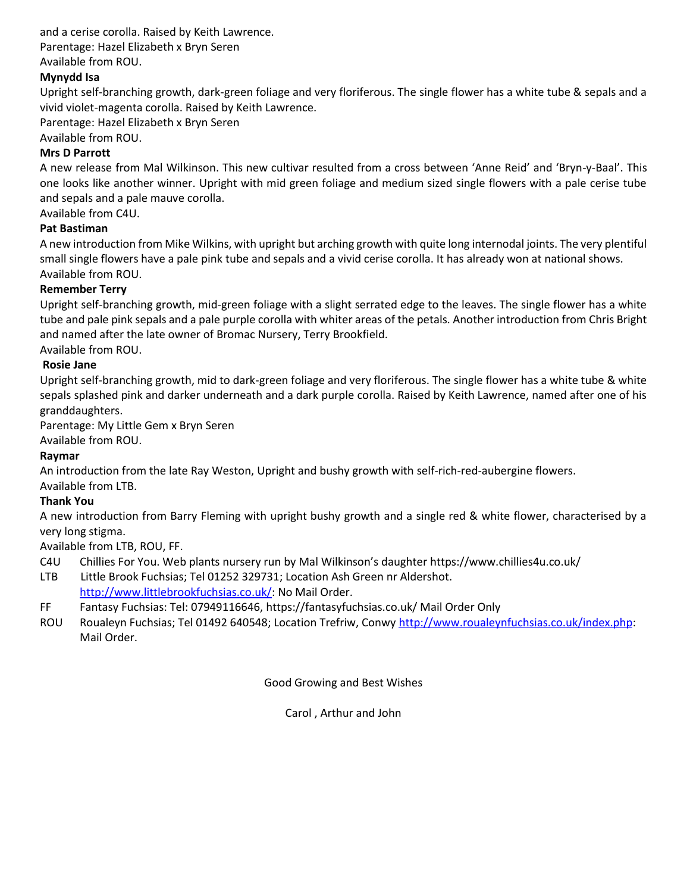and a cerise corolla. Raised by Keith Lawrence.

Parentage: Hazel Elizabeth x Bryn Seren

Available from ROU.

## **Mynydd Isa**

Upright self-branching growth, dark-green foliage and very floriferous. The single flower has a white tube & sepals and a vivid violet-magenta corolla. Raised by Keith Lawrence.

Parentage: Hazel Elizabeth x Bryn Seren

Available from ROU.

## **Mrs D Parrott**

A new release from Mal Wilkinson. This new cultivar resulted from a cross between 'Anne Reid' and 'Bryn-y-Baal'. This one looks like another winner. Upright with mid green foliage and medium sized single flowers with a pale cerise tube and sepals and a pale mauve corolla.

Available from C4U.

## **Pat Bastiman**

A new introduction from Mike Wilkins, with upright but arching growth with quite long internodal joints. The very plentiful small single flowers have a pale pink tube and sepals and a vivid cerise corolla. It has already won at national shows. Available from ROU.

## **Remember Terry**

Upright self-branching growth, mid-green foliage with a slight serrated edge to the leaves. The single flower has a white tube and pale pink sepals and a pale purple corolla with whiter areas of the petals. Another introduction from Chris Bright and named after the late owner of Bromac Nursery, Terry Brookfield.

Available from ROU.

## **Rosie Jane**

Upright self-branching growth, mid to dark-green foliage and very floriferous. The single flower has a white tube & white sepals splashed pink and darker underneath and a dark purple corolla. Raised by Keith Lawrence, named after one of his granddaughters.

Parentage: My Little Gem x Bryn Seren

Available from ROU.

#### **Raymar**

An introduction from the late Ray Weston, Upright and bushy growth with self-rich-red-aubergine flowers.

Available from LTB.

## **Thank You**

A new introduction from Barry Fleming with upright bushy growth and a single red & white flower, characterised by a very long stigma.

Available from LTB, ROU, FF.

- C4U Chillies For You. Web plants nursery run by Mal Wilkinson's daughter https://www.chillies4u.co.uk/
- LTB Little Brook Fuchsias; Tel 01252 329731; Location Ash Green nr Aldershot. [http://www.littlebrookfuchsias.co.uk/:](http://www.littlebrookfuchsias.co.uk/) No Mail Order.
- FF Fantasy Fuchsias: Tel: 07949116646, https://fantasyfuchsias.co.uk/ Mail Order Only
- ROU Roualeyn Fuchsias; Tel 01492 640548; Location Trefriw, Conwy [http://www.roualeynfuchsias.co.uk/index.php:](http://www.roualeynfuchsias.co.uk/index.php) Mail Order.

Good Growing and Best Wishes

Carol , Arthur and John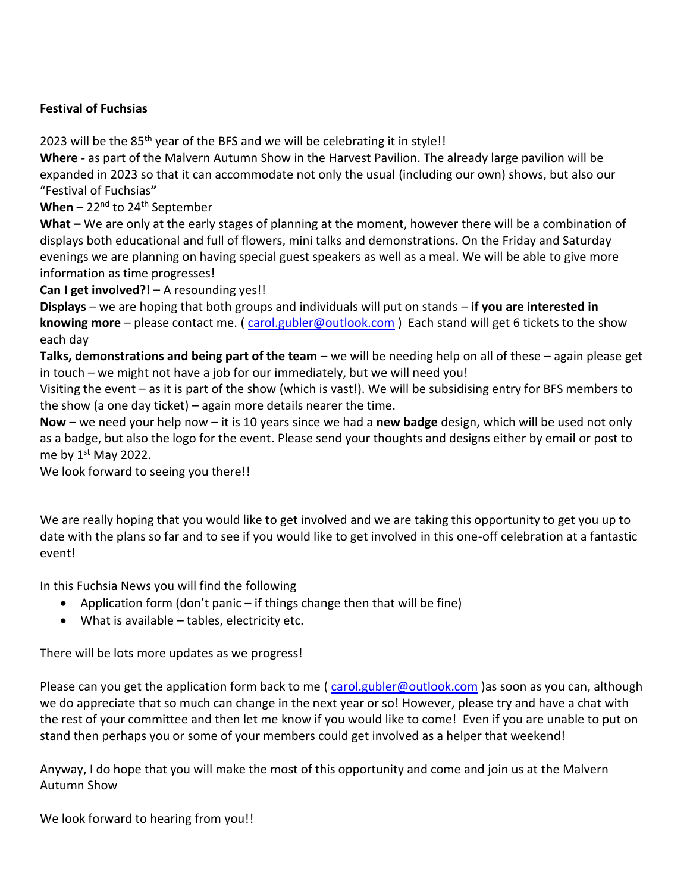## **Festival of Fuchsias**

2023 will be the 85<sup>th</sup> year of the BFS and we will be celebrating it in style!!

**Where -** as part of the Malvern Autumn Show in the Harvest Pavilion. The already large pavilion will be expanded in 2023 so that it can accommodate not only the usual (including our own) shows, but also our "Festival of Fuchsias**"**

**When** –  $22^{nd}$  to  $24^{th}$  September

**What –** We are only at the early stages of planning at the moment, however there will be a combination of displays both educational and full of flowers, mini talks and demonstrations. On the Friday and Saturday evenings we are planning on having special guest speakers as well as a meal. We will be able to give more information as time progresses!

**Can I get involved?! –** A resounding yes!!

**Displays** – we are hoping that both groups and individuals will put on stands – **if you are interested in knowing more** – please contact me. ( [carol.gubler@outlook.com](mailto:carol.gubler@outlook.com) ) Each stand will get 6 tickets to the show each day

**Talks, demonstrations and being part of the team** – we will be needing help on all of these – again please get in touch – we might not have a job for our immediately, but we will need you!

Visiting the event – as it is part of the show (which is vast!). We will be subsidising entry for BFS members to the show (a one day ticket) – again more details nearer the time.

**Now** – we need your help now – it is 10 years since we had a **new badge** design, which will be used not only as a badge, but also the logo for the event. Please send your thoughts and designs either by email or post to me by  $1<sup>st</sup>$  May 2022.

We look forward to seeing you there!!

We are really hoping that you would like to get involved and we are taking this opportunity to get you up to date with the plans so far and to see if you would like to get involved in this one-off celebration at a fantastic event!

In this Fuchsia News you will find the following

- Application form (don't panic if things change then that will be fine)
- What is available tables, electricity etc.

There will be lots more updates as we progress!

Please can you get the application form back to me [\( carol.gubler@outlook.com](mailto:carol.gubler@outlook.com) )as soon as you can, although we do appreciate that so much can change in the next year or so! However, please try and have a chat with the rest of your committee and then let me know if you would like to come! Even if you are unable to put on stand then perhaps you or some of your members could get involved as a helper that weekend!

Anyway, I do hope that you will make the most of this opportunity and come and join us at the Malvern Autumn Show

We look forward to hearing from you!!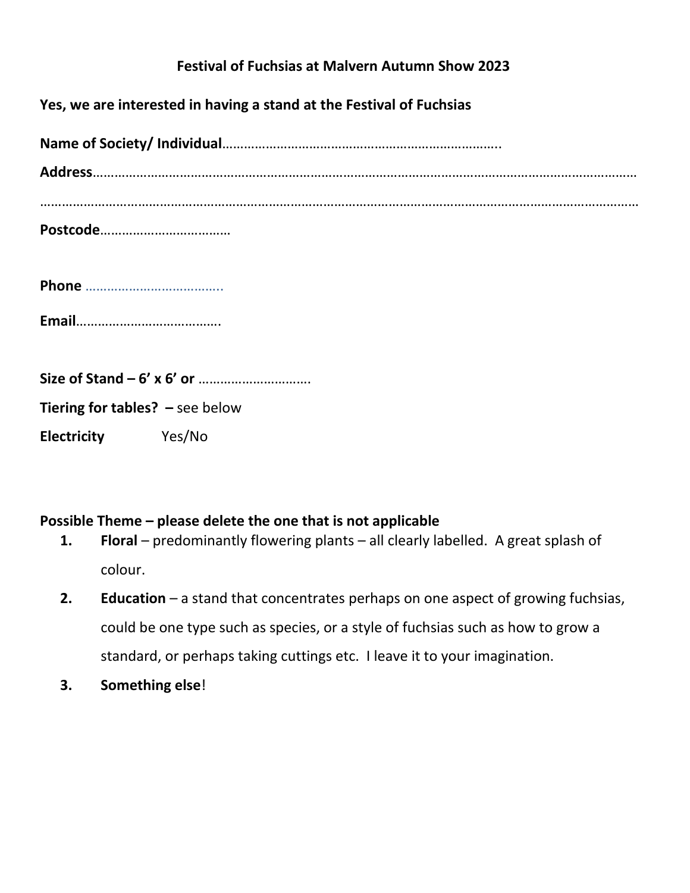# **Festival of Fuchsias at Malvern Autumn Show 2023**

| Yes, we are interested in having a stand at the Festival of Fuchsias |  |
|----------------------------------------------------------------------|--|
|                                                                      |  |
|                                                                      |  |
|                                                                      |  |
|                                                                      |  |
|                                                                      |  |
|                                                                      |  |
| <b>Tiering for tables?</b> $-$ see below                             |  |
| Electricity Yes/No                                                   |  |

## **Possible Theme – please delete the one that is not applicable**

- **1. Floral** predominantly flowering plants all clearly labelled. A great splash of colour.
- **2. Education**  a stand that concentrates perhaps on one aspect of growing fuchsias, could be one type such as species, or a style of fuchsias such as how to grow a standard, or perhaps taking cuttings etc. I leave it to your imagination.
- **3. Something else**!